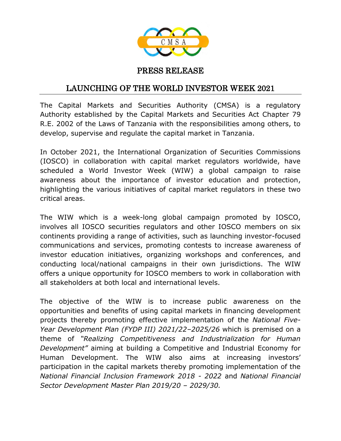

## PRESS RELEASE

## LAUNCHING OF THE WORLD INVESTOR WEEK 2021

The Capital Markets and Securities Authority (CMSA) is a regulatory Authority established by the Capital Markets and Securities Act Chapter 79 R.E. 2002 of the Laws of Tanzania with the responsibilities among others, to develop, supervise and regulate the capital market in Tanzania.

In October 2021, the International Organization of Securities Commissions (IOSCO) in collaboration with capital market regulators worldwide, have scheduled a World Investor Week (WIW) a global campaign to raise awareness about the importance of investor education and protection, highlighting the various initiatives of capital market regulators in these two critical areas.

The WIW which is a week-long global campaign promoted by IOSCO, involves all IOSCO securities regulators and other IOSCO members on six continents providing a range of activities, such as launching investor-focused communications and services, promoting contests to increase awareness of investor education initiatives, organizing workshops and conferences, and conducting local/national campaigns in their own jurisdictions. The WIW offers a unique opportunity for IOSCO members to work in collaboration with all stakeholders at both local and international levels.

The objective of the WIW is to increase public awareness on the opportunities and benefits of using capital markets in financing development projects thereby promoting effective implementation of the *National Five-Year Development Plan (FYDP III) 2021/22–2025/26* which is premised on a theme of *"Realizing Competitiveness and Industrialization for Human Development"* aiming at building a Competitive and Industrial Economy for Human Development. The WIW also aims at increasing investors' participation in the capital markets thereby promoting implementation of the *National Financial Inclusion Framework 2018 - 2022* and *National Financial Sector Development Master Plan 2019/20 – 2029/30.*